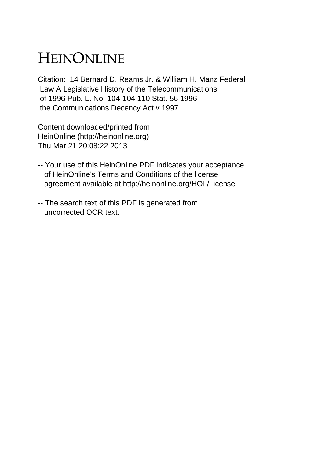## HEINONLINE

Citation: 14 Bernard D. Reams Jr. & William H. Manz Federal Law A Legislative History of the Telecommunications of 1996 Pub. L. No. 104-104 110 Stat. 56 1996 the Communications Decency Act v 1997

Content downloaded/printed from HeinOnline (http://heinonline.org) Thu Mar 21 20:08:22 2013

- -- Your use of this HeinOnline PDF indicates your acceptance of HeinOnline's Terms and Conditions of the license agreement available at http://heinonline.org/HOL/License
- -- The search text of this PDF is generated from uncorrected OCR text.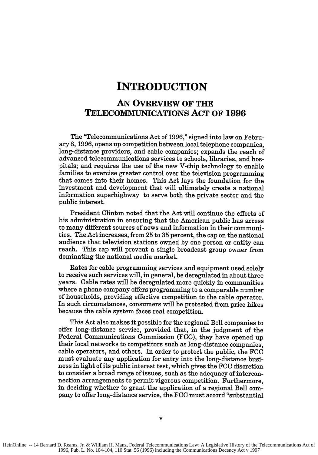## **INTRODUCTION**

## **AN OVERVIEW OF THE TELECOMMUNICATIONS ACT OF 1996**

The "Telecommunications Act of **1996,"** signed into law on February **8, 1996,** opens up competition between local telephone companies, long-distance providers, and cable companies; expands the reach of advanced telecommunications services to schools, libraries, and hospitals; and requires the use of the new V-chip technology to enable families to exercise greater control over the television programming that comes into their homes. This Act lays the foundation for the investment and development that will ultimately create a national information superhighway to serve both the private sector and the public interest.

President Clinton noted that the Act will continue the efforts of his administration in ensuring that the American public has access to many different sources of news and information in their communities. The Act increases, from **25** to **35** percent, the cap on the national audience that television stations owned **by** one person or entity can reach. This cap will prevent a single broadcast group owner from dominating the national media market.

Rates for cable programming services and equipment used solely to receive such services will, in general, be deregulated in about three years. Cable rates will be deregulated more quickly in communities where a phone company offers programming to a comparable number of households, providing effective competition to the cable operator. In such circumstances, consumers will be protected from price hikes because the cable system faces real competition.

This Act also makes it possible for the regional Bell companies to offer long-distance service, provided that, in the judgment of the Federal Communications Commission **(FCC),** they have opened up their local networks to competitors such as long-distance companies, cable operators, and others. In order to protect the public, the **FCC** must evaluate any application for entry into the long-distance business in light of its public interest test, which gives the **FCC** discretion to consider a broad range of issues, such as the adequacy of interconnection arrangements to permit vigorous competition. Furthermore, in deciding whether to grant the application of a regional Bell company to offer long-distance service, the **FCC** must accord "substantial